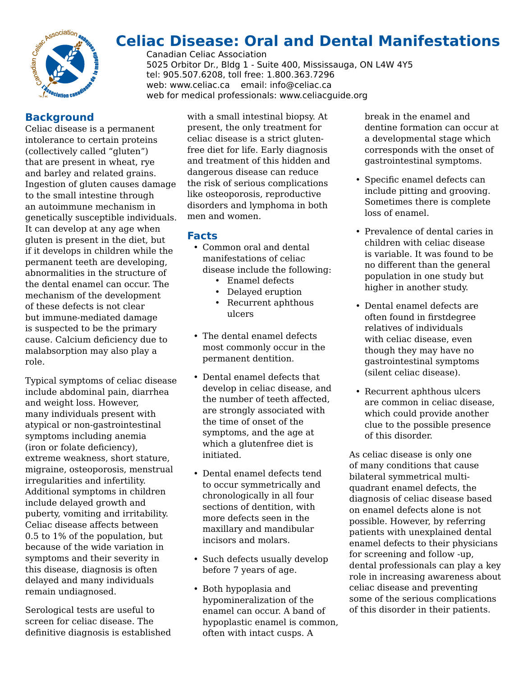

# **Celiac Disease: Oral and Dental Manifestations**

Canadian Celiac Association 5025 Orbitor Dr., Bldg 1 - Suite 400, Mississauga, ON L4W 4Y5 tel: 905.507.6208, toll free: 1.800.363.7296 web: www.celiac.ca email: info@celiac.ca web for medical professionals: www.celiacguide.org

## **Background**

Celiac disease is a permanent intolerance to certain proteins (collectively called "gluten") that are present in wheat, rye and barley and related grains. Ingestion of gluten causes damage to the small intestine through an autoimmune mechanism in genetically susceptible individuals. It can develop at any age when gluten is present in the diet, but if it develops in children while the permanent teeth are developing, abnormalities in the structure of the dental enamel can occur. The mechanism of the development of these defects is not clear but immune-mediated damage is suspected to be the primary cause. Calcium deficiency due to malabsorption may also play a role.

Typical symptoms of celiac disease include abdominal pain, diarrhea and weight loss. However, many individuals present with atypical or non-gastrointestinal symptoms including anemia (iron or folate deficiency), extreme weakness, short stature, migraine, osteoporosis, menstrual irregularities and infertility. Additional symptoms in children include delayed growth and puberty, vomiting and irritability. Celiac disease affects between 0.5 to 1% of the population, but because of the wide variation in symptoms and their severity in this disease, diagnosis is often delayed and many individuals remain undiagnosed.

Serological tests are useful to screen for celiac disease. The definitive diagnosis is established

with a small intestinal biopsy. At present, the only treatment for celiac disease is a strict glutenfree diet for life. Early diagnosis and treatment of this hidden and dangerous disease can reduce the risk of serious complications like osteoporosis, reproductive disorders and lymphoma in both men and women.

### **Facts**

- Common oral and dental manifestations of celiac disease include the following:
	- Enamel defects
	- Delayed eruption
	- Recurrent aphthous ulcers
- The dental enamel defects most commonly occur in the permanent dentition.
- Dental enamel defects that develop in celiac disease, and the number of teeth affected, are strongly associated with the time of onset of the symptoms, and the age at which a glutenfree diet is initiated.
- Dental enamel defects tend to occur symmetrically and chronologically in all four sections of dentition, with more defects seen in the maxillary and mandibular incisors and molars.
- Such defects usually develop before 7 years of age.
- Both hypoplasia and hypomineralization of the enamel can occur. A band of hypoplastic enamel is common, often with intact cusps. A

break in the enamel and dentine formation can occur at a developmental stage which corresponds with the onset of gastrointestinal symptoms.

- Specific enamel defects can include pitting and grooving. Sometimes there is complete loss of enamel.
- Prevalence of dental caries in children with celiac disease is variable. It was found to be no different than the general population in one study but higher in another study.
- Dental enamel defects are often found in firstdegree relatives of individuals with celiac disease, even though they may have no gastrointestinal symptoms (silent celiac disease).
- Recurrent aphthous ulcers are common in celiac disease, which could provide another clue to the possible presence of this disorder.

As celiac disease is only one of many conditions that cause bilateral symmetrical multiquadrant enamel defects, the diagnosis of celiac disease based on enamel defects alone is not possible. However, by referring patients with unexplained dental enamel defects to their physicians for screening and follow -up, dental professionals can play a key role in increasing awareness about celiac disease and preventing some of the serious complications of this disorder in their patients.